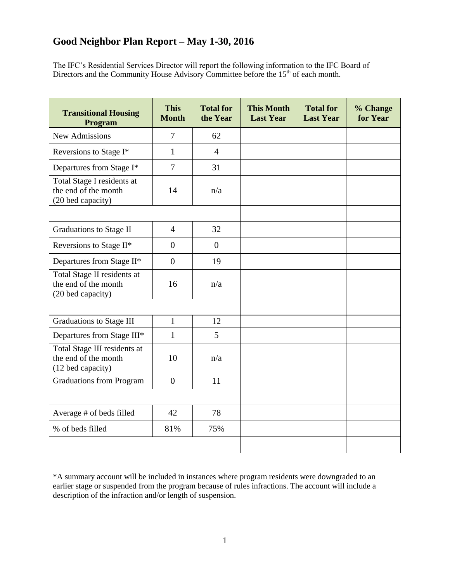The IFC's Residential Services Director will report the following information to the IFC Board of Directors and the Community House Advisory Committee before the  $15<sup>th</sup>$  of each month.

| <b>Transitional Housing</b><br>Program                                    | <b>This</b><br><b>Month</b> | <b>Total for</b><br>the Year | <b>This Month</b><br><b>Last Year</b> | <b>Total for</b><br><b>Last Year</b> | % Change<br>for Year |
|---------------------------------------------------------------------------|-----------------------------|------------------------------|---------------------------------------|--------------------------------------|----------------------|
| <b>New Admissions</b>                                                     | $\overline{7}$              | 62                           |                                       |                                      |                      |
| Reversions to Stage I*                                                    | $\mathbf{1}$                | $\overline{4}$               |                                       |                                      |                      |
| Departures from Stage I*                                                  | $\overline{7}$              | 31                           |                                       |                                      |                      |
| Total Stage I residents at<br>the end of the month<br>(20 bed capacity)   | 14                          | n/a                          |                                       |                                      |                      |
|                                                                           |                             |                              |                                       |                                      |                      |
| <b>Graduations to Stage II</b>                                            | $\overline{4}$              | 32                           |                                       |                                      |                      |
| Reversions to Stage II*                                                   | $\overline{0}$              | $\overline{0}$               |                                       |                                      |                      |
| Departures from Stage II*                                                 | $\overline{0}$              | 19                           |                                       |                                      |                      |
| Total Stage II residents at<br>the end of the month<br>(20 bed capacity)  | 16                          | n/a                          |                                       |                                      |                      |
|                                                                           |                             |                              |                                       |                                      |                      |
| <b>Graduations to Stage III</b>                                           | $\mathbf{1}$                | 12                           |                                       |                                      |                      |
| Departures from Stage III*                                                | $\mathbf{1}$                | 5                            |                                       |                                      |                      |
| Total Stage III residents at<br>the end of the month<br>(12 bed capacity) | 10                          | n/a                          |                                       |                                      |                      |
| <b>Graduations from Program</b>                                           | $\overline{0}$              | 11                           |                                       |                                      |                      |
|                                                                           |                             |                              |                                       |                                      |                      |
| Average # of beds filled                                                  | 42                          | 78                           |                                       |                                      |                      |
| % of beds filled                                                          | 81%                         | 75%                          |                                       |                                      |                      |
|                                                                           |                             |                              |                                       |                                      |                      |

\*A summary account will be included in instances where program residents were downgraded to an earlier stage or suspended from the program because of rules infractions. The account will include a description of the infraction and/or length of suspension.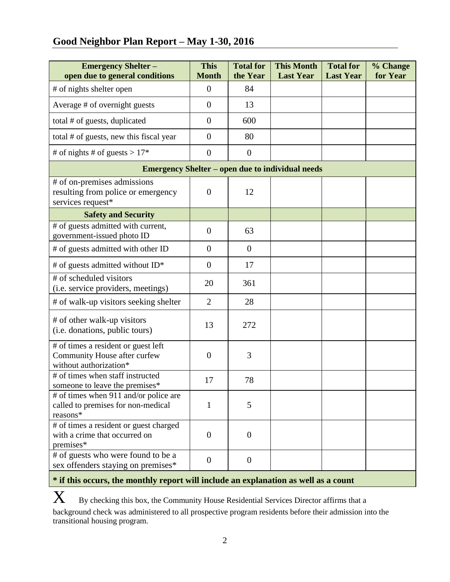# **Good Neighbor Plan Report – May 1-30, 2016**

| <b>Emergency Shelter -</b><br>open due to general conditions                                  | <b>This</b><br><b>Month</b> | <b>Total for</b><br>the Year | <b>This Month</b><br><b>Last Year</b> | <b>Total for</b><br><b>Last Year</b> | % Change<br>for Year |  |  |  |  |
|-----------------------------------------------------------------------------------------------|-----------------------------|------------------------------|---------------------------------------|--------------------------------------|----------------------|--|--|--|--|
| # of nights shelter open                                                                      | $\overline{0}$              | 84                           |                                       |                                      |                      |  |  |  |  |
| Average # of overnight guests                                                                 | $\theta$                    | 13                           |                                       |                                      |                      |  |  |  |  |
| total # of guests, duplicated                                                                 | $\overline{0}$              | 600                          |                                       |                                      |                      |  |  |  |  |
| total # of guests, new this fiscal year                                                       | $\overline{0}$              | 80                           |                                       |                                      |                      |  |  |  |  |
| # of nights # of guests > $17*$                                                               | $\overline{0}$              | $\overline{0}$               |                                       |                                      |                      |  |  |  |  |
| <b>Emergency Shelter – open due to individual needs</b>                                       |                             |                              |                                       |                                      |                      |  |  |  |  |
| # of on-premises admissions<br>resulting from police or emergency<br>services request*        | $\overline{0}$              | 12                           |                                       |                                      |                      |  |  |  |  |
| <b>Safety and Security</b>                                                                    |                             |                              |                                       |                                      |                      |  |  |  |  |
| # of guests admitted with current,<br>government-issued photo ID                              | $\overline{0}$              | 63                           |                                       |                                      |                      |  |  |  |  |
| # of guests admitted with other ID                                                            | $\overline{0}$              | $\boldsymbol{0}$             |                                       |                                      |                      |  |  |  |  |
| # of guests admitted without ID*                                                              | $\overline{0}$              | 17                           |                                       |                                      |                      |  |  |  |  |
| # of scheduled visitors<br>(i.e. service providers, meetings)                                 | 20                          | 361                          |                                       |                                      |                      |  |  |  |  |
| # of walk-up visitors seeking shelter                                                         | $\overline{2}$              | 28                           |                                       |                                      |                      |  |  |  |  |
| # of other walk-up visitors<br>(i.e. donations, public tours)                                 | 13                          | 272                          |                                       |                                      |                      |  |  |  |  |
| # of times a resident or guest left<br>Community House after curfew<br>without authorization* | $\overline{0}$              | 3                            |                                       |                                      |                      |  |  |  |  |
| # of times when staff instructed<br>someone to leave the premises*                            | 17                          | 78                           |                                       |                                      |                      |  |  |  |  |
| # of times when 911 and/or police are<br>called to premises for non-medical<br>reasons*       | 1                           | 5                            |                                       |                                      |                      |  |  |  |  |
| # of times a resident or guest charged<br>with a crime that occurred on<br>premises*          | $\overline{0}$              | $\boldsymbol{0}$             |                                       |                                      |                      |  |  |  |  |
| # of guests who were found to be a<br>sex offenders staying on premises*                      | $\overline{0}$              | $\boldsymbol{0}$             |                                       |                                      |                      |  |  |  |  |

# **\* if this occurs, the monthly report will include an explanation as well as a count**

 $X$  By checking this box, the Community House Residential Services Director affirms that a background check was administered to all prospective program residents before their admission into the transitional housing program.